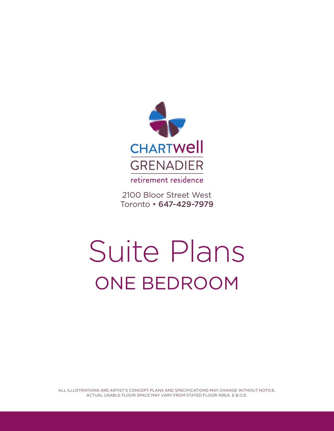

2100 Bloor Street West Toronto • 647-429-7979

## Suite Plans ONE BEDROOM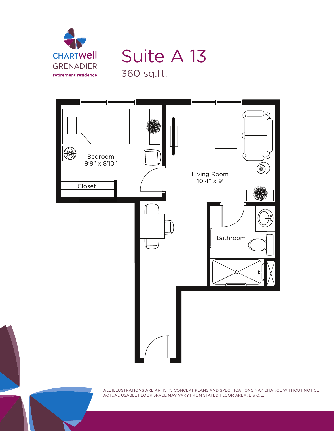

## Suite A 13 360 sq.ft.

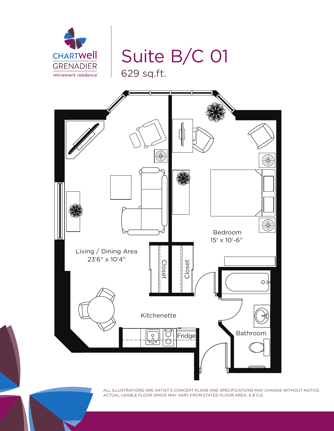

Suite B/C 01



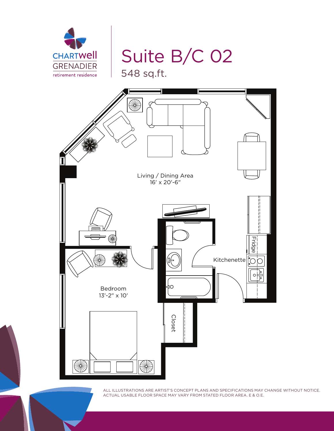

## Suite B/C 02

548 sq.ft.

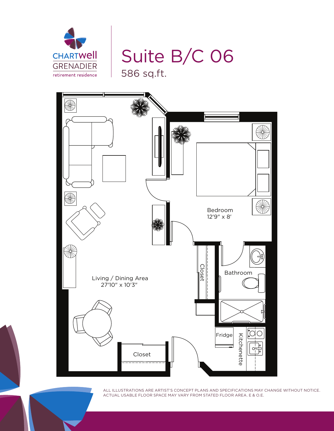

Suite B/C 06

586 sq.ft.

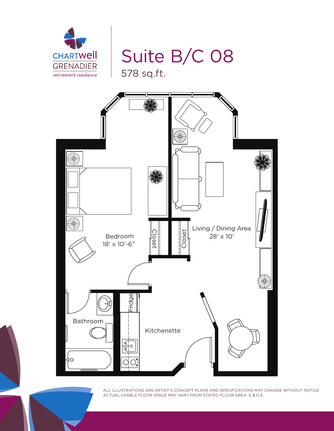

Suite B/C 08 578 sq.ft.

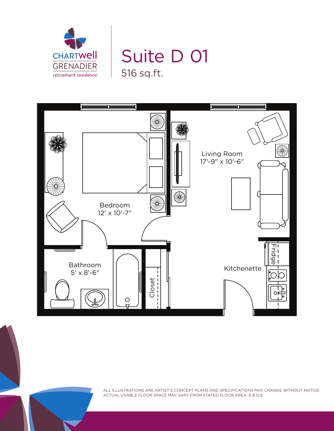

## Suite D 01 516 sq.ft.

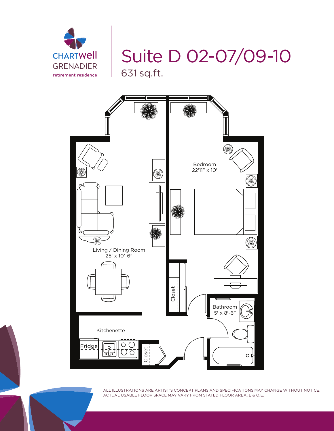

Suite D 02-07/09-10 631 sq.ft.

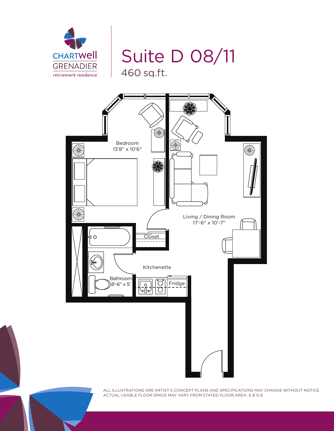

Suite D 08/11 460 sq.ft.